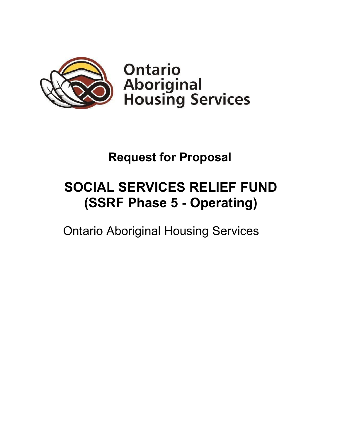

**Ontario Aboriginal<br>Housing Services** 

# **Request for Proposal**

# **SOCIAL SERVICES RELIEF FUND (SSRF Phase 5 - Operating)**

Ontario Aboriginal Housing Services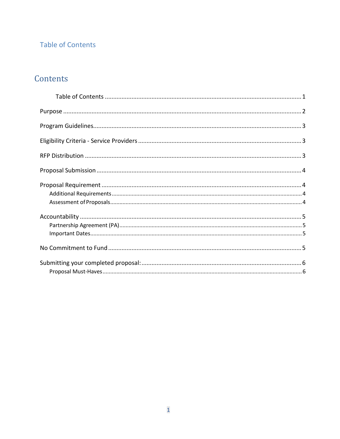## <span id="page-1-0"></span>**Table of Contents**

# Contents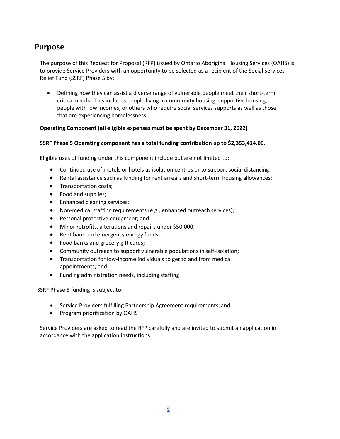## <span id="page-2-0"></span>**Purpose**

The purpose of this Request for Proposal (RFP) issued by Ontario Aboriginal Housing Services (OAHS) is to provide Service Providers with an opportunity to be selected as a recipient of the Social Services Relief Fund (SSRF) Phase 5 by:

• Defining how they can assist a diverse range of vulnerable people meet their short-term critical needs. This includes people living in community housing, supportive housing, people with low incomes, or others who require social services supports as well as those that are experiencing homelessness.

#### **Operating Component (all eligible expenses must be spent by December 31, 2022)**

#### **SSRF Phase 5 Operating component has a total funding contribution up to \$2,353,414.00.**

Eligible uses of funding under this component include but are not limited to:

- Continued use of motels or hotels as isolation centres or to support social distancing;
- Rental assistance such as funding for rent arrears and short-term housing allowances;
- Transportation costs;
- Food and supplies;
- Enhanced cleaning services;
- Non-medical staffing requirements (e.g., enhanced outreach services);
- Personal protective equipment; and
- Minor retrofits, alterations and repairs under \$50,000.
- Rent bank and emergency energy funds;
- Food banks and grocery gift cards;
- Community outreach to support vulnerable populations in self-isolation;
- Transportation for low-income individuals to get to and from medical appointments; and
- Funding administration needs, including staffing

SSRF Phase 5 funding is subject to:

- Service Providers fulfilling Partnership Agreement requirements; and
- Program prioritization by OAHS

Service Providers are asked to read the RFP carefully and are invited to submit an application in accordance with the application instructions.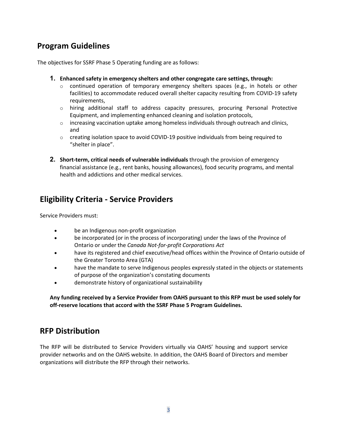## <span id="page-3-0"></span>**Program Guidelines**

The objectives for SSRF Phase 5 Operating funding are as follows:

- **1. Enhanced safety in emergency shelters and other congregate care settings, through:**
	- $\circ$  continued operation of temporary emergency shelters spaces (e.g., in hotels or other facilities) to accommodate reduced overall shelter capacity resulting from COVID-19 safety requirements,
	- $\circ$  hiring additional staff to address capacity pressures, procuring Personal Protective Equipment, and implementing enhanced cleaning and isolation protocols,
	- $\circ$  increasing vaccination uptake among homeless individuals through outreach and clinics, and
	- $\circ$  creating isolation space to avoid COVID-19 positive individuals from being required to "shelter in place".
- **2. Short-term, critical needs of vulnerable individuals** through the provision of emergency financial assistance (e.g., rent banks, housing allowances), food security programs, and mental health and addictions and other medical services.

## <span id="page-3-1"></span>**Eligibility Criteria - Service Providers**

Service Providers must:

- be an Indigenous non-profit organization
- be incorporated (or in the process of incorporating) under the laws of the Province of Ontario or under the *Canada Not-for-profit Corporations Act*
- have its registered and chief executive/head offices within the Province of Ontario outside of the Greater Toronto Area (GTA)
- have the mandate to serve Indigenous peoples expressly stated in the objects or statements of purpose of the organization's constating documents
- demonstrate history of organizational sustainability

**Any funding received by a Service Provider from OAHS pursuant to this RFP must be used solely for off-reserve locations that accord with the SSRF Phase 5 Program Guidelines.**

## <span id="page-3-2"></span>**RFP Distribution**

The RFP will be distributed to Service Providers virtually via OAHS' housing and support service provider networks and on the OAHS website. In addition, the OAHS Board of Directors and member organizations will distribute the RFP through their networks.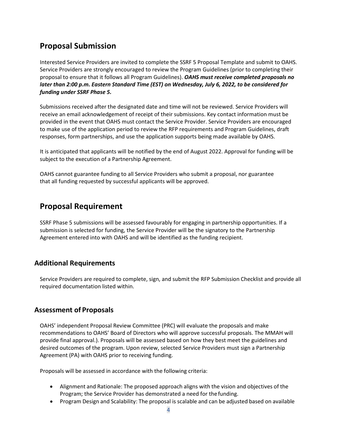## <span id="page-4-0"></span>**Proposal Submission**

Interested Service Providers are invited to complete the SSRF 5 Proposal Template and submit to OAHS. Service Providers are strongly encouraged to review the Program Guidelines (prior to completing their proposal to ensure that it follows all Program Guidelines). *OAHS must receive completed proposals no later than 2:00 p.m. Eastern Standard Time (EST) on Wednesday, July 6, 2022, to be considered for funding under SSRF Phase 5.* 

Submissions received after the designated date and time will not be reviewed. Service Providers will receive an email acknowledgement of receipt of their submissions. Key contact information must be provided in the event that OAHS must contact the Service Provider. Service Providers are encouraged to make use of the application period to review the RFP requirements and Program Guidelines, draft responses, form partnerships, and use the application supports being made available by OAHS.

It is anticipated that applicants will be notified by the end of August 2022. Approval for funding will be subject to the execution of a Partnership Agreement.

OAHS cannot guarantee funding to all Service Providers who submit a proposal, nor guarantee that all funding requested by successful applicants will be approved.

## <span id="page-4-1"></span>**Proposal Requirement**

SSRF Phase 5 submissions will be assessed favourably for engaging in partnership opportunities. If a submission is selected for funding, the Service Provider will be the signatory to the Partnership Agreement entered into with OAHS and will be identified as the funding recipient.

### <span id="page-4-2"></span>**Additional Requirements**

Service Providers are required to complete, sign, and submit the RFP Submission Checklist and provide all required documentation listed within.

### <span id="page-4-3"></span>**Assessment of Proposals**

OAHS' independent Proposal Review Committee (PRC) will evaluate the proposals and make recommendations to OAHS' Board of Directors who will approve successful proposals. The MMAH will provide final approval.). Proposals will be assessed based on how they best meet the guidelines and desired outcomes of the program. Upon review, selected Service Providers must sign a Partnership Agreement (PA) with OAHS prior to receiving funding.

Proposals will be assessed in accordance with the following criteria:

- Alignment and Rationale: The proposed approach aligns with the vision and objectives of the Program; the Service Provider has demonstrated a need for thefunding.
- Program Design and Scalability: The proposal is scalable and can be adjusted based on available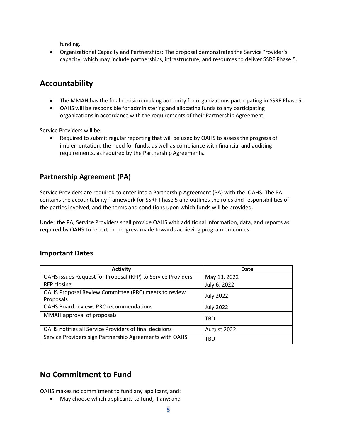funding.

• Organizational Capacity and Partnerships: The proposal demonstrates the Service Provider's capacity, which may include partnerships, infrastructure, and resources to deliver SSRF Phase 5.

## <span id="page-5-0"></span>**Accountability**

- The MMAH has the final decision-making authority for organizations participating in SSRF Phase 5.
- OAHS will be responsible for administering and allocating funds to any participating organizations in accordance with the requirements of their Partnership Agreement.

Service Providers will be:

• Required to submit regular reporting that will be used by OAHS to assess the progress of implementation, the need for funds, as well as compliance with financial and auditing requirements, as required by the Partnership Agreements.

## <span id="page-5-1"></span>**Partnership Agreement (PA)**

Service Providers are required to enter into a Partnership Agreement (PA) with the OAHS. The PA contains the accountability framework for SSRF Phase 5 and outlines the roles and responsibilities of the parties involved, and the terms and conditions upon which funds will be provided.

Under the PA, Service Providers shall provide OAHS with additional information, data, and reports as required by OAHS to report on progress made towards achieving program outcomes.

### <span id="page-5-2"></span>**Important Dates**

| <b>Activity</b>                                                   | Date             |
|-------------------------------------------------------------------|------------------|
| OAHS issues Request for Proposal (RFP) to Service Providers       | May 13, 2022     |
| RFP closing                                                       | July 6, 2022     |
| OAHS Proposal Review Committee (PRC) meets to review<br>Proposals | <b>July 2022</b> |
| <b>OAHS Board reviews PRC recommendations</b>                     | <b>July 2022</b> |
| MMAH approval of proposals                                        | <b>TBD</b>       |
| OAHS notifies all Service Providers of final decisions            | August 2022      |
| Service Providers sign Partnership Agreements with OAHS           | TBD              |

## <span id="page-5-3"></span>**No Commitment to Fund**

OAHS makes no commitment to fund any applicant, and:

• May choose which applicants to fund, if any; and